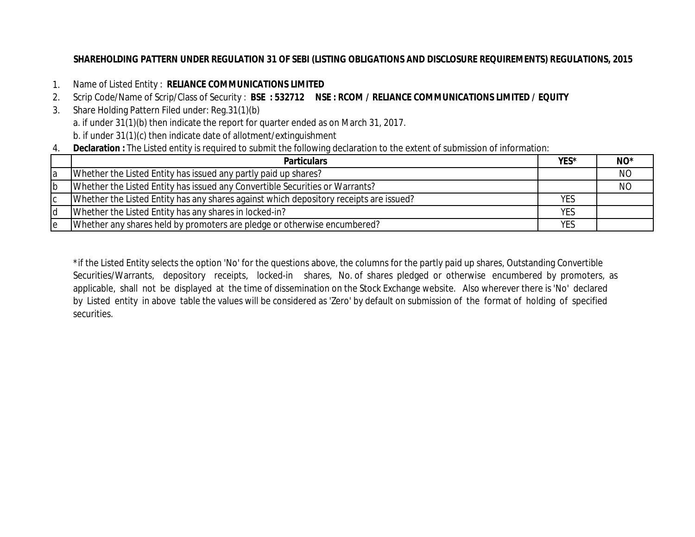# **SHAREHOLDING PATTERN UNDER REGULATION 31 OF SEBI (LISTING OBLIGATIONS AND DISCLOSURE REQUIREMENTS) REGULATIONS, 2015**

- 1. Name of Listed Entity : **RELIANCE COMMUNICATIONS LIMITED**
- 2. Scrip Code/Name of Scrip/Class of Security : **BSE : 532712 NSE : RCOM / RELIANCE COMMUNICATIONS LIMITED / EQUITY**
- 3. Share Holding Pattern Filed under: Reg.31(1)(b) a. if under 31(1)(b) then indicate the report for quarter ended as on March 31, 2017.
	- b. if under 31(1)(c) then indicate date of allotment/extinguishment
- 4. **Declaration :** The Listed entity is required to submit the following declaration to the extent of submission of information:

|            | <b>Particulars</b>                                                                     | YES*       | NO <sup>*</sup> |
|------------|----------------------------------------------------------------------------------------|------------|-----------------|
| ١a         | Whether the Listed Entity has issued any partly paid up shares?                        |            | <b>NO</b>       |
| <b>l</b> b | Whether the Listed Entity has issued any Convertible Securities or Warrants?           |            | NO              |
| ТC         | Whether the Listed Entity has any shares against which depository receipts are issued? | YES        |                 |
| ld         | Whether the Listed Entity has any shares in locked-in?                                 | <b>YES</b> |                 |
| le         | Whether any shares held by promoters are pledge or otherwise encumbered?               | <b>YES</b> |                 |

\*if the Listed Entity selects the option 'No' for the questions above, the columns for the partly paid up shares, Outstanding Convertible Securities/Warrants, depository receipts, locked-in shares, No. of shares pledged or otherwise encumbered by promoters, as applicable, shall not be displayed at the time of dissemination on the Stock Exchange website. Also wherever there is 'No' declared by Listed entity in above table the values will be considered as 'Zero' by default on submission of the format of holding of specified securities.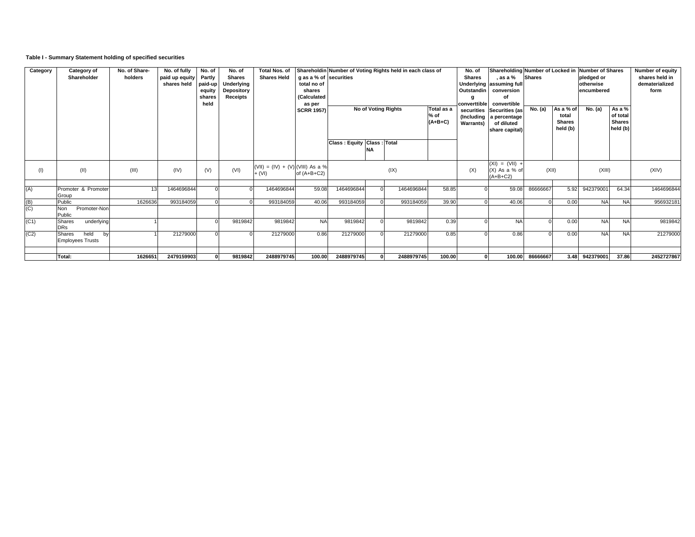## **Table I - Summary Statement holding of specified securities**

| Category | <b>Category of</b><br>Shareholder               | No. of Share-<br>holders | No. of fully<br>paid up equity<br>shares held | No. of<br>Partly<br>paid-up<br>equity<br>shares<br>held | No. of<br><b>Shares</b><br>Underlying<br>Depository<br><b>Receipts</b> | <b>Total Nos. of</b><br><b>Shares Held</b>  | g as a % of securities<br>total no of<br>shares<br>(Calculated<br>as per<br><b>SCRR 1957)</b> | Shareholdin Number of Voting Rights held in each class of<br>No of Voting Rights |           |            | Total as a<br>% of<br>$(A+B+C)$ |          | Shareholding Number of Locked in<br>, as a %<br>Underlying assuming full<br>Outstandin<br>conversion<br>convertible<br>converttible<br>securities Securities (as<br>(Including a percentage<br>of diluted<br>share capital) | <b>Shares</b><br>No. (a) | As a % of<br>total<br><b>Shares</b><br>held (b) | Number of Shares<br>pledged or<br>otherwise<br>encumbered<br>No. (a) | As a %<br>of total<br><b>Shares</b><br>held (b) | Number of equity<br>shares held in<br>dematerialized<br>form |
|----------|-------------------------------------------------|--------------------------|-----------------------------------------------|---------------------------------------------------------|------------------------------------------------------------------------|---------------------------------------------|-----------------------------------------------------------------------------------------------|----------------------------------------------------------------------------------|-----------|------------|---------------------------------|----------|-----------------------------------------------------------------------------------------------------------------------------------------------------------------------------------------------------------------------------|--------------------------|-------------------------------------------------|----------------------------------------------------------------------|-------------------------------------------------|--------------------------------------------------------------|
|          |                                                 |                          |                                               |                                                         |                                                                        |                                             |                                                                                               | <b>Class: Equity Class: Total</b>                                                | <b>NA</b> |            |                                 |          |                                                                                                                                                                                                                             |                          |                                                 |                                                                      |                                                 |                                                              |
| (1)      | (II)                                            | (III)                    | (IV)                                          | (V)                                                     | (VI)                                                                   | (VII) = (IV) + (V) (VIII) As a %<br>$+ (V)$ | of $(A+B+C2)$                                                                                 |                                                                                  |           | (IX)       |                                 | (X)      | $(XI) = (VII) +$<br>$(X)$ As a % of<br>$(A+B+C2)$                                                                                                                                                                           | (XII)                    |                                                 | (XIII)                                                               |                                                 | (XIV)                                                        |
|          | Promoter & Promoter<br>Group                    |                          | 1464696844                                    |                                                         |                                                                        | 1464696844                                  | 59.08                                                                                         | 1464696844                                                                       |           | 1464696844 | 58.85                           |          | 59.08                                                                                                                                                                                                                       | 86666667                 | 5.92                                            | 942379001                                                            | 64.34                                           | 1464696844                                                   |
|          | Public                                          | 1626636                  | 993184059                                     |                                                         |                                                                        | 993184059                                   | 40.06                                                                                         | 993184059                                                                        |           | 993184059  | 39.90                           |          | 40.06                                                                                                                                                                                                                       |                          | 0.00                                            | <b>NA</b>                                                            | <b>NA</b>                                       | 956932181                                                    |
| (C)      | Promoter-Non<br><b>Non</b><br>Public            |                          |                                               |                                                         |                                                                        |                                             |                                                                                               |                                                                                  |           |            |                                 |          |                                                                                                                                                                                                                             |                          |                                                 |                                                                      |                                                 |                                                              |
| (C1)     | underlying<br><b>Shares</b><br><b>DRs</b>       |                          |                                               |                                                         | 9819842                                                                | 9819842                                     | <b>NA</b>                                                                                     | 9819842                                                                          |           | 9819842    | 0.39                            |          | <b>NA</b>                                                                                                                                                                                                                   |                          | 0.00                                            | <b>NA</b>                                                            | <b>NA</b>                                       | 9819842                                                      |
| (C2)     | held<br>Shares<br>by<br><b>Employees Trusts</b> |                          | 21279000                                      |                                                         |                                                                        | 21279000                                    | 0.86                                                                                          | 21279000                                                                         |           | 21279000   | 0.85                            |          | 0.86                                                                                                                                                                                                                        |                          | 0.00                                            | <b>NA</b>                                                            | <b>NA</b>                                       | 21279000                                                     |
|          | Total:                                          | 1626651                  | 2479159903                                    |                                                         | 9819842                                                                | 2488979745                                  | 100.00                                                                                        | 2488979745                                                                       |           | 2488979745 | 100.00                          | $\Omega$ | 100.00                                                                                                                                                                                                                      | 86666667                 | 3.48                                            | 942379001                                                            | 37.86                                           | 2452727867                                                   |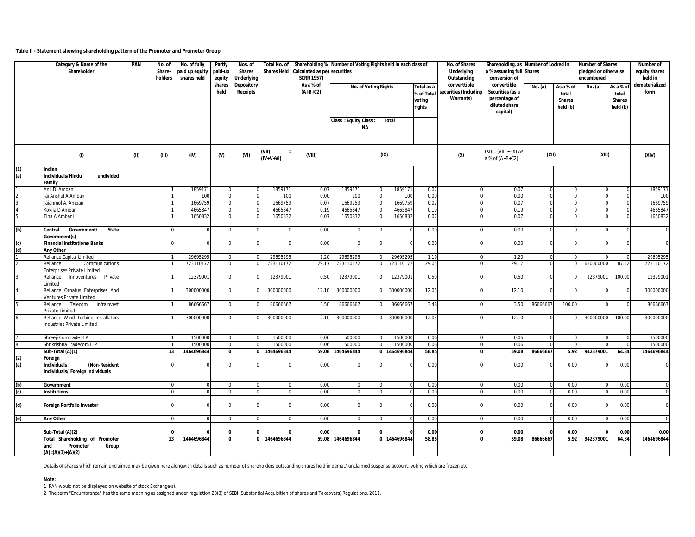### **Table II - Statement showing shareholding pattern of the Promoter and Promoter Group**

|                | PAN<br>Category & Name of the<br>No. of fully<br>Partly<br>Nos. of<br>Total No. of<br>No. of<br>Shareholder<br>Share-<br>paid up equity<br>paid-up<br><b>Shares</b><br><b>Shares Held</b><br>holders<br>shares held<br>equity<br><b>Underlying</b> |      |          |            |                |                               |                      | Shareholding % Number of Voting Rights held in each class of<br><b>Calculated as per securities</b><br><b>SCRR 1957)</b> |                             |                      |              |                                              | No. of Shares<br><b>Underlying</b><br>Outstanding | Shareholding, as Number of Locked in<br>a % assuming full Shares<br>conversion of |          |                                                     | <b>Number of Shares</b><br>pledged or otherwise<br>encumbered | Number of<br>equity shares<br>held in          |                        |  |       |
|----------------|----------------------------------------------------------------------------------------------------------------------------------------------------------------------------------------------------------------------------------------------------|------|----------|------------|----------------|-------------------------------|----------------------|--------------------------------------------------------------------------------------------------------------------------|-----------------------------|----------------------|--------------|----------------------------------------------|---------------------------------------------------|-----------------------------------------------------------------------------------|----------|-----------------------------------------------------|---------------------------------------------------------------|------------------------------------------------|------------------------|--|-------|
|                |                                                                                                                                                                                                                                                    |      |          |            | shares<br>held | Depository<br><b>Receipts</b> |                      | As a % of<br>$(A+B+C2)$                                                                                                  |                             | No. of Voting Rights |              | Total as a<br>% of Total<br>voting<br>rights | converttible<br>ecurities (Including<br>Warrants) | convertible<br>Securities (as a<br>percentage of<br>diluted share<br>capital)     | No. (a)  | As a % of<br>total<br><b>Shares</b><br>held (b)     | No. (a)                                                       | As a % o<br>total<br><b>Shares</b><br>held (b) | dematerialized<br>form |  |       |
|                |                                                                                                                                                                                                                                                    |      |          |            |                |                               |                      |                                                                                                                          | <b>Class: Equity Class:</b> | <b>NA</b>            | <b>Total</b> |                                              |                                                   |                                                                                   |          |                                                     |                                                               |                                                |                        |  |       |
|                | (1)                                                                                                                                                                                                                                                | (II) | (III)    | (IV)       | $(V)$          | (VI)                          | (VII)<br>$(IV+V+VI)$ | (VIII)                                                                                                                   | (IX)                        |                      |              |                                              |                                                   |                                                                                   | (x)      | $(XI) = (VII) + (X) As$<br>(XII)<br>a % of (A+B+C2) |                                                               |                                                | (XIII)                 |  | (XIV) |
| (1)            | Indian                                                                                                                                                                                                                                             |      |          |            |                |                               |                      |                                                                                                                          |                             |                      |              |                                              |                                                   |                                                                                   |          |                                                     |                                                               |                                                |                        |  |       |
| (a)            | Individuals/Hindu<br>undivided<br>Family                                                                                                                                                                                                           |      |          |            |                |                               |                      |                                                                                                                          |                             |                      |              |                                              |                                                   |                                                                                   |          |                                                     |                                                               |                                                |                        |  |       |
|                | Anil D. Ambani                                                                                                                                                                                                                                     |      |          | 185917     |                |                               | 1859171              | 0.07                                                                                                                     | 1859171                     |                      | 185917       | 0.07                                         |                                                   | 0.07                                                                              |          |                                                     | $\Omega$                                                      |                                                | 185917                 |  |       |
|                | Jai Anshul A Ambani                                                                                                                                                                                                                                |      |          | 100        | $\Omega$       |                               | 100                  | 0.00                                                                                                                     | 100                         |                      | 100          | 0.00                                         |                                                   | 0.00                                                                              |          |                                                     |                                                               |                                                | 10 <sup>c</sup>        |  |       |
|                |                                                                                                                                                                                                                                                    |      |          |            |                |                               |                      |                                                                                                                          |                             |                      |              |                                              |                                                   |                                                                                   |          |                                                     |                                                               |                                                |                        |  |       |
|                | Jaianmol A. Ambani                                                                                                                                                                                                                                 |      |          | 1669759    | $\Omega$       |                               | 1669759              | 0.07                                                                                                                     | 1669759                     |                      | 1669759      | 0.07                                         |                                                   | 0.07                                                                              |          |                                                     | $\Omega$                                                      |                                                | 1669759                |  |       |
|                | Kokila D Ambani                                                                                                                                                                                                                                    |      |          | 466584     | $\Omega$       |                               | 4665847              | 0.19                                                                                                                     | 466584                      |                      | 466584       | 0.19                                         |                                                   | 0.19                                                                              |          |                                                     |                                                               |                                                | 4665847                |  |       |
|                | Tina A Ambani                                                                                                                                                                                                                                      |      |          | 165083     | $\Omega$       |                               | 1650832              | 0.07                                                                                                                     | 165083                      |                      | 165083       | 0.07                                         |                                                   | 0.07                                                                              |          |                                                     |                                                               |                                                | 1650832                |  |       |
| (b)            | Government/<br>State<br>Central<br>Government(s)                                                                                                                                                                                                   |      |          |            |                |                               |                      | 0.00                                                                                                                     |                             |                      |              | 0.00                                         |                                                   | 0.00                                                                              |          |                                                     |                                                               |                                                |                        |  |       |
| (c)            | <b>Financial Institutions/Banks</b>                                                                                                                                                                                                                |      | $\Omega$ |            |                |                               | $\Omega$             | 0.00                                                                                                                     |                             |                      | $\Omega$     | 0.00                                         |                                                   | 0.00                                                                              |          |                                                     | $\Omega$                                                      |                                                | $\Omega$               |  |       |
| $\overline{a}$ | <b>Any Other</b>                                                                                                                                                                                                                                   |      |          |            |                |                               |                      |                                                                                                                          |                             |                      |              |                                              |                                                   |                                                                                   |          |                                                     |                                                               |                                                |                        |  |       |
|                | Reliance Capital Limited                                                                                                                                                                                                                           |      |          | 29695295   |                |                               | 29695295             | 1.20                                                                                                                     | 29695295                    |                      | 29695295     | 1.19                                         |                                                   | 1.20                                                                              |          |                                                     |                                                               |                                                | 29695295               |  |       |
|                | Communications<br>Reliance<br><b>Enterprises Private Limited</b>                                                                                                                                                                                   |      |          | 723110172  | $\Omega$       |                               | 723110172            | 29.17                                                                                                                    | 723110172                   |                      | 723110172    | 29.05                                        |                                                   | 29.17                                                                             |          |                                                     | 630000000                                                     | 87.12                                          | 723110172              |  |       |
|                | Reliance<br>Innoventures<br>Private<br>Limited                                                                                                                                                                                                     |      |          | 12379001   |                |                               | 12379001             | 0.50                                                                                                                     | 12379001                    |                      | 12379001     | 0.50                                         |                                                   | 0.50                                                                              |          |                                                     | 12379001                                                      | 100.00                                         | 12379001               |  |       |
|                | Reliance Ornatus Enterprises And<br>Ventures Private Limited                                                                                                                                                                                       |      |          | 300000000  |                |                               | 300000000            | 12.10                                                                                                                    | 300000000                   |                      | 300000000    | 12.05                                        |                                                   | 12.10                                                                             |          |                                                     |                                                               |                                                | 300000000              |  |       |
|                | Reliance<br>Telecom Infrainvest<br>Private Limited                                                                                                                                                                                                 |      |          | 8666666    |                |                               | 86666667             | 3.50                                                                                                                     | 86666667                    |                      | 86666667     | 3.48                                         |                                                   | 3.50                                                                              | 8666666  | 100.00                                              | $\Omega$                                                      |                                                | 86666667               |  |       |
|                | Reliance Wind Turbine Installator<br>Industries Private Limited                                                                                                                                                                                    |      |          | 30000000   |                |                               | 300000000            | 12.10                                                                                                                    | 30000000                    |                      | 300000000    | 12.05                                        |                                                   | 12.10                                                                             |          |                                                     | 300000000                                                     | 100.00                                         | 300000000              |  |       |
|                |                                                                                                                                                                                                                                                    |      |          |            |                |                               |                      |                                                                                                                          |                             |                      |              |                                              |                                                   |                                                                                   |          |                                                     |                                                               |                                                |                        |  |       |
|                | Shreeji Comtrade LLP                                                                                                                                                                                                                               |      |          | 1500000    | $\Omega$       |                               | 1500000              | 0.06                                                                                                                     | 1500000                     |                      | 1500000      | 0.06                                         |                                                   | 0.06                                                                              |          |                                                     | $\Omega$                                                      |                                                | 1500000                |  |       |
|                | Shrikrishna Tradecom LLP                                                                                                                                                                                                                           |      |          | 1500000    | $\Omega$       |                               | 1500000              | 0.06                                                                                                                     | 1500000                     |                      | 1500000      | 0.06                                         |                                                   | 0.06                                                                              |          |                                                     |                                                               |                                                | 1500000                |  |       |
|                | Sub-Total (A)(1)                                                                                                                                                                                                                                   |      | 13       | 1464696844 | $\mathbf{0}$   | ΟI                            | 1464696844           | 59.08                                                                                                                    | 1464696844                  |                      | 1464696844   | 58.85                                        | 0                                                 | 59.08                                                                             | 86666667 | 5.92                                                | 942379001                                                     | 64.34                                          | 1464696844             |  |       |
| (2)            | Foreign                                                                                                                                                                                                                                            |      |          |            |                |                               |                      |                                                                                                                          |                             |                      |              |                                              |                                                   |                                                                                   |          |                                                     |                                                               |                                                |                        |  |       |
| (a)            | (Non-Resident<br><b>Individuals</b><br>Individuals/ Foreign Individuals                                                                                                                                                                            |      |          |            |                |                               |                      | 0.00                                                                                                                     |                             |                      |              | 0.00                                         |                                                   | 0.00                                                                              |          | 0.00                                                |                                                               | 0.00                                           |                        |  |       |
| (b)            | <b>Government</b>                                                                                                                                                                                                                                  |      |          |            |                |                               |                      | 0.00                                                                                                                     |                             |                      |              | 0.00                                         |                                                   | 0.00                                                                              |          | 0.00                                                |                                                               | 0.00                                           |                        |  |       |
| (c)            | <b>Institutions</b>                                                                                                                                                                                                                                |      |          |            |                |                               |                      | 0.00                                                                                                                     |                             |                      |              | 0.00                                         |                                                   | 0.00                                                                              |          | 0.00                                                |                                                               | 0.00                                           |                        |  |       |
|                |                                                                                                                                                                                                                                                    |      |          |            |                |                               |                      |                                                                                                                          |                             |                      |              |                                              |                                                   |                                                                                   |          |                                                     |                                                               |                                                |                        |  |       |
| $\overline{d}$ | Foreign Portfolio Investor                                                                                                                                                                                                                         |      |          |            |                |                               |                      | 0.00                                                                                                                     |                             |                      |              | 0.00                                         |                                                   | 0.00                                                                              |          | 0.00                                                |                                                               | 0.00                                           |                        |  |       |
|                |                                                                                                                                                                                                                                                    |      |          |            |                |                               |                      |                                                                                                                          |                             |                      |              |                                              |                                                   |                                                                                   |          |                                                     |                                                               |                                                |                        |  |       |
| (e)            | Any Other                                                                                                                                                                                                                                          |      |          |            |                |                               |                      | 0.00                                                                                                                     |                             |                      |              | 0.00                                         |                                                   | 0.00                                                                              |          | 0.00                                                |                                                               | 0.00                                           |                        |  |       |
|                | Sub-Total (A)(2)                                                                                                                                                                                                                                   |      | $\Omega$ |            | 0              |                               | O                    | 0.00                                                                                                                     |                             |                      |              | 0.00                                         |                                                   | 0.00                                                                              |          | 0.00                                                | n                                                             | 0.00                                           | 0.00                   |  |       |
|                | Total Shareholding of Promoter                                                                                                                                                                                                                     |      | 13       | 1464696844 | $\Omega$       |                               | 1464696844           | 59.08                                                                                                                    | 1464696844                  |                      | 1464696844   | 58.85                                        |                                                   | 59.08                                                                             | 8666666  | 5.92                                                | 942379001                                                     | 64.34                                          | 1464696844             |  |       |
|                | and<br>Promoter<br>Group<br>$(A)=(A)(1)+(A)(2)$                                                                                                                                                                                                    |      |          |            |                |                               |                      |                                                                                                                          |                             |                      |              |                                              |                                                   |                                                                                   |          |                                                     |                                                               |                                                |                        |  |       |

Details of shares which remain unclaimed may be given here alongwith details such as number of shareholders outstanding shares held in demat/ unclaimed suspense account, voting which are frozen etc.

#### **Note:**

1. PAN would not be displayed on website of stock Exchange(s).

2. The term "Encumbrance" has the same meaning as assigned under regulation 28(3) of SEBI (Substantial Acquisition of shares and Takeovers) Regulations, 2011.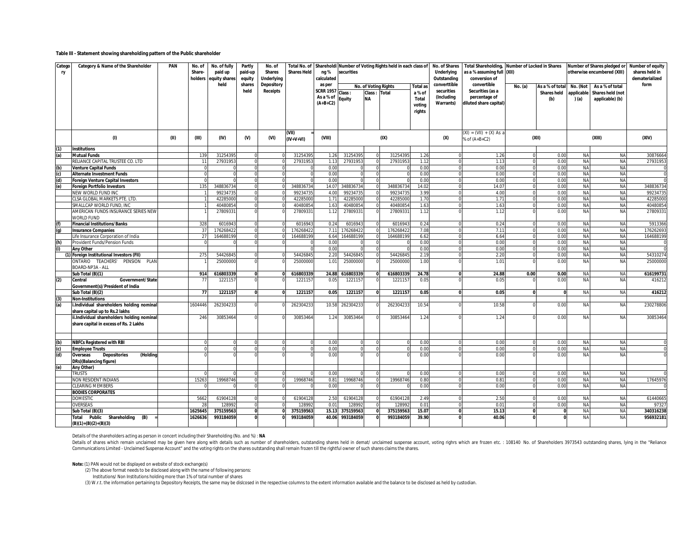#### **Table III - Statement showing shareholding pattern of the Public shareholder**

| Catego<br>ry | Category & Name of the Shareholder                                                   | PAN  | No. of<br>Share-<br>holders | No. of fully<br>paid up<br>equity shares | Partly<br>paid-up<br>equity | No. of<br><b>Shares</b><br>Underlying | <b>Total No. of</b><br><b>Shares Held</b> | Shareholdi<br>ng %<br>calculated | securities                                                      |           | Number of Voting Rights held in each class of |                                  | No. of Shares<br>Underlying<br>Outstanding | Total Shareholding, Number of Locked in Shares<br>as a % assuming full (XII)<br>conversion of |              |                                       |                        | Number of Shares pledged or<br>otherwise encumbered (XIII) | Number of equity<br>shares held in<br>dematerialized |
|--------------|--------------------------------------------------------------------------------------|------|-----------------------------|------------------------------------------|-----------------------------|---------------------------------------|-------------------------------------------|----------------------------------|-----------------------------------------------------------------|-----------|-----------------------------------------------|----------------------------------|--------------------------------------------|-----------------------------------------------------------------------------------------------|--------------|---------------------------------------|------------------------|------------------------------------------------------------|------------------------------------------------------|
|              |                                                                                      |      |                             | held                                     | shares<br>held              | <b>Depository</b><br><b>Receipts</b>  |                                           | as per<br><b>SCRR 1957</b>       | <b>No. of Voting Rights</b><br>Class:<br>Class:<br><b>Total</b> |           |                                               | <b>Total as</b><br>a % of        | converttible<br>securities                 | convertible<br>Securities (as a                                                               | No. (a)      | As a % of total<br><b>Shares held</b> | No. (Not<br>applicable | As a % of total<br>Shares held (not                        | form                                                 |
|              |                                                                                      |      |                             |                                          |                             |                                       |                                           | As a % of<br>$(A+B+C2)$          | Equity                                                          | <b>NA</b> |                                               | <b>Total</b><br>voting<br>rights | (Including<br>Warrants)                    | percentage of<br>diluted share capital)                                                       |              | (b)                                   | (a)                    | applicable) (b)                                            |                                                      |
|              |                                                                                      |      |                             |                                          |                             |                                       |                                           |                                  |                                                                 |           |                                               |                                  |                                            |                                                                                               |              |                                       |                        |                                                            |                                                      |
|              | (1)                                                                                  | (II) | (III)                       | (IV)                                     | $W$                         | (VI)                                  | (VII)<br>$(IV+V+VD)$                      | <b>(VIII)</b>                    |                                                                 |           | (IX)                                          |                                  | (x)                                        | $(XI) = (VII) + (X) As a$<br>% of (A+B+C2)                                                    |              | (XII)                                 |                        | (XIII)                                                     | (XIV)                                                |
| (1)          | <b>Institutions</b>                                                                  |      |                             |                                          |                             |                                       |                                           |                                  |                                                                 |           |                                               |                                  |                                            |                                                                                               |              |                                       |                        |                                                            |                                                      |
| (a)          | <b>Mutual Funds</b>                                                                  |      | 139                         | 3125439                                  | $\Omega$                    |                                       | 3125439                                   | 1.26                             | 3125439                                                         |           | 3125439                                       | 1.26                             |                                            | 1.26                                                                                          |              | 0.00                                  | <b>NA</b>              | <b>NA</b>                                                  | 30876664                                             |
|              | RELIANCE CAPITAL TRUSTEE CO. LTD                                                     |      | 11                          | 27931953                                 |                             |                                       | 27931953                                  | 1.13                             | 27931953                                                        |           | 2793195                                       | 1.12                             |                                            | 1.13                                                                                          |              | 0.00                                  | <b>NA</b>              | <b>NA</b>                                                  | 27931953                                             |
| (b)          | <b>Venture Capital Funds</b>                                                         |      |                             |                                          | $\Omega$                    |                                       |                                           | 0.00                             |                                                                 |           |                                               | 0.00                             |                                            | 0.00                                                                                          | $\Omega$     | 0.00                                  | <b>NA</b>              | NA                                                         |                                                      |
| (c)          | <b>Alternate Investment Funds</b>                                                    |      |                             |                                          | $\Omega$                    |                                       |                                           | 0.00                             |                                                                 |           |                                               | 0.00                             |                                            | 0.00                                                                                          |              | 0.00                                  | <b>NA</b>              | <b>NA</b>                                                  |                                                      |
| (d)          | <b>Foreign Venture Capital Investors</b>                                             |      |                             |                                          | $\Omega$                    |                                       |                                           | 0.00                             |                                                                 |           |                                               | 0.00                             |                                            | 0.00                                                                                          |              | 0.00                                  | <b>NA</b>              | <b>NA</b>                                                  |                                                      |
| (e)          | <b>Foreign Portfolio Investors</b>                                                   |      | 135                         | 34883673                                 | $\Omega$                    |                                       | 348836734                                 | 14.07                            | 34883673                                                        |           | 34883673                                      | 14.02                            |                                            | 14.07                                                                                         |              | 0.00                                  | <b>NA</b>              | <b>NA</b>                                                  | 348836734                                            |
|              | NEW WORLD FUND INC<br>CLSA GLOBAL MARKETS PTE. LTD                                   |      |                             | 9923473<br>4228500                       |                             |                                       | 9923473<br>42285000                       | 4.00<br>1.71                     | 9923473<br>42285000                                             |           | 9923473<br>4228500                            | 3.99<br>1.70                     |                                            | 4.00<br>1.71                                                                                  |              | 0.00<br>0.00                          | <b>NA</b><br><b>NA</b> | <b>NA</b><br><b>NA</b>                                     | 9923473<br>42285000                                  |
|              | SMALLCAP WORLD FUND, INC                                                             |      |                             | 4048085                                  | $\Omega$<br>$\Omega$        |                                       | 4048085                                   | 1.63                             | 4048085                                                         |           | 4048085                                       | 1.63                             |                                            | 1.63                                                                                          |              | 0.00                                  | <b>NA</b>              | <b>NA</b>                                                  | 4048085                                              |
|              | AMERICAN FUNDS INSURANCE SERIES NEW<br><b>WORLD FUND</b>                             |      |                             | 2780933                                  | $\Omega$                    |                                       | 2780933                                   | 1.12                             | 2780933                                                         |           | 2780933                                       | 1.12                             |                                            | 1.12                                                                                          |              | 0.00                                  | <b>NA</b>              | NA                                                         | 2780933                                              |
| (f)          | <b>Financial Institutions/Banks</b>                                                  |      | 328                         | 601694                                   | $\Omega$                    |                                       | 601694                                    | 0.2                              | 601694                                                          |           | 601694                                        | 0.24                             |                                            | 0.24                                                                                          |              | 0.00                                  | <b>NA</b>              | <b>NA</b>                                                  | 5913366                                              |
| (a)          | <b>Insurance Companies</b>                                                           |      | 37                          | 17626842                                 | $\Omega$                    |                                       | 17626842                                  | 7.11                             | 17626842                                                        |           | 17626842                                      | 7.08                             |                                            | 7.11                                                                                          |              | 0.00                                  | <b>NA</b>              | <b>NA</b>                                                  | 176262693                                            |
|              | life Insurance Corporation of India                                                  |      | 27                          | 164688199                                | $\Omega$                    |                                       | 164688199                                 | 6.64                             | 164688199                                                       |           | 16468819                                      | 6.62                             |                                            | 6.64                                                                                          |              | 0.00                                  | <b>NA</b>              | <b>NA</b>                                                  | 16468819                                             |
| (h)          | Provident Funds/Pension Funds                                                        |      |                             |                                          |                             |                                       |                                           | 0.00                             |                                                                 |           |                                               | 0.00                             |                                            | 0.00                                                                                          |              | 0.00                                  | <b>NA</b>              | <b>NA</b>                                                  |                                                      |
| (i)          | Any Other                                                                            |      |                             |                                          |                             |                                       |                                           | 0.00                             |                                                                 |           |                                               | 0.00                             |                                            | 0.00                                                                                          |              | 0.00                                  | <b>NA</b>              | <b>NA</b>                                                  |                                                      |
|              | (1) Foreign Institutional Investors (FII)                                            |      | 275                         | 5442684                                  |                             |                                       | 5442684                                   | 2.20                             | 5442684                                                         |           | 5442684                                       | 2.19                             |                                            | 2.20                                                                                          |              | 0.00                                  | <b>NA</b>              | <b>NA</b>                                                  | 54310274                                             |
|              | ONTARIO TEACHERS' PENSION PLAN<br>BOARD-NP3A - ALL                                   |      |                             | 2500000                                  |                             |                                       | 2500000                                   | 1.0                              | 25000000                                                        |           | 2500000                                       | 1.00                             |                                            | 1.01                                                                                          |              | 0.00                                  | <b>NA</b>              | <b>NA</b>                                                  | 25000000                                             |
|              | Sub Total (B)(1)                                                                     |      | 914                         | 61680333                                 | $\mathbf{0}$                |                                       | 616803339                                 | 24.88                            | 616803339                                                       |           | 61680333                                      | 24.78                            |                                            | 24.88                                                                                         | 0.00         | 0.00                                  | <b>NA</b>              | <b>NA</b>                                                  | 616199731                                            |
| (2)          | Government/State<br>Central<br>Government(s)/President of India                      |      | 77                          | 122115                                   |                             |                                       | 122115                                    | 0.05                             | 122115                                                          |           | 122115                                        | 0.05                             |                                            | 0.05                                                                                          |              | 0.00                                  | <b>NA</b>              | <b>NA</b>                                                  | 416212                                               |
|              | Sub Total (B)(2)                                                                     |      | 77                          | 1221157                                  | $\Omega$                    |                                       | 1221157                                   | 0.05                             | 1221157                                                         |           | 122115                                        | 0.05                             |                                            | 0.05                                                                                          | $\mathbf{r}$ |                                       | <b>NA</b>              | <b>NA</b>                                                  | 416212                                               |
| (3)          | <b>Non-Institutions</b>                                                              |      |                             |                                          |                             |                                       |                                           |                                  |                                                                 |           |                                               |                                  |                                            |                                                                                               |              |                                       |                        |                                                            |                                                      |
| (a)          | i.Individual shareholders holding nominal<br>share capital up to Rs.2 lakhs          |      | 1604446                     | 26230423                                 |                             |                                       | 26230423                                  | 10.58                            | 262304233                                                       |           | 26230423                                      | 10.54                            |                                            | 10.58                                                                                         |              | 0.00                                  | <b>NA</b>              | <b>NA</b>                                                  | 230278806                                            |
|              | ii.Individual shareholders holding nominal<br>share capital in excess of Rs. 2 Lakhs |      | 246                         | 30853464                                 |                             |                                       | 3085346                                   | 1.24                             | 30853464                                                        |           | 3085346                                       | 1.24                             |                                            | 1.24                                                                                          |              | 0.00                                  | <b>NA</b>              | <b>NA</b>                                                  | 30853464                                             |
| (b)          | <b>NBFCs Registered with RBI</b>                                                     |      |                             |                                          |                             |                                       |                                           | 0.00                             |                                                                 |           |                                               | 0.00                             |                                            | 0.00                                                                                          |              | 0.00                                  | <b>NA</b>              | <b>NA</b>                                                  |                                                      |
| (c)          | <b>Employee Trusts</b>                                                               |      |                             |                                          | $\Omega$                    |                                       |                                           | 0.00                             |                                                                 |           |                                               | 0.00                             |                                            | 0.00                                                                                          |              | 0.00                                  | <b>NA</b>              | <b>NA</b>                                                  |                                                      |
| (d)          | (Holding<br>Overseas<br><b>Depositories</b>                                          |      |                             |                                          |                             |                                       |                                           | 0.00                             |                                                                 |           |                                               | 0.00                             |                                            | 0.00                                                                                          |              | 0.00                                  | <b>NA</b>              | <b>NA</b>                                                  |                                                      |
| (e)          | DRs)(Balancing figure)<br>Any Other)                                                 |      |                             |                                          |                             |                                       |                                           |                                  |                                                                 |           |                                               |                                  |                                            |                                                                                               |              |                                       |                        |                                                            |                                                      |
|              | <b>TRUSTS</b>                                                                        |      |                             |                                          |                             |                                       |                                           | 0.00                             |                                                                 |           |                                               | 0.00                             |                                            | 0.00                                                                                          |              | 0.00                                  | <b>NA</b>              | <b>NA</b>                                                  |                                                      |
|              | NON RESIDENT INDIANS                                                                 |      | 15263                       | 1996874                                  |                             |                                       | 19968746                                  | $0.8^{\circ}$                    | 19968746                                                        |           | 19968746                                      | 0.80                             |                                            | 0.81                                                                                          |              | 0.00                                  | NA                     | NA                                                         | 17645976                                             |
|              | CLEARING MEMBERS                                                                     |      |                             |                                          |                             |                                       |                                           | 0.00                             |                                                                 |           |                                               | 0.00                             |                                            | 0.00                                                                                          |              | 0.00                                  | <b>NA</b>              | NA                                                         |                                                      |
|              | <b>BODIES CORPORATES</b>                                                             |      |                             |                                          |                             |                                       |                                           |                                  |                                                                 |           |                                               |                                  |                                            |                                                                                               |              |                                       |                        |                                                            |                                                      |
|              | DOMESTIC                                                                             |      | 5662                        | 6190412                                  |                             |                                       | 61904128                                  | 2.50                             | 6190412                                                         |           | 6190412                                       | 2.49                             |                                            | 2.50                                                                                          |              | 0.00                                  | <b>NA</b>              | <b>NA</b>                                                  | 61440665                                             |
|              | OVERSEAS                                                                             |      | 28                          | 12899                                    | $\Omega$                    |                                       | 128992                                    | $0.0^{\circ}$                    | 128992                                                          |           | 12899                                         | 0.01                             |                                            | 0.01                                                                                          |              | 0.00                                  | <b>NA</b>              | <b>NA</b>                                                  | 9732                                                 |
|              | Sub Total (B)(3)                                                                     |      | 1625645                     | 375159563                                | $\Omega$                    |                                       | 375159563                                 | 15.13                            | 375159563                                                       |           | 37515956                                      | 15.07                            | $\Omega$                                   | 15.13                                                                                         | $\Omega$     | $\mathbf{0}$                          | <b>NA</b>              | <b>NA</b>                                                  | 340316238                                            |
|              | Shareholding<br>Total Public<br>(B)<br>$(B)(1)+(B)(2)+(B)(3)$                        |      | 1626636                     | 993184059                                | $\Omega$                    |                                       | 993184059                                 | 40.06                            | 993184059                                                       |           | 993184059                                     | 39.90                            |                                            | 40.06                                                                                         |              |                                       | <b>NA</b>              | <b>NA</b>                                                  | 956932181                                            |

Details of the shareholders acting as person in concert including their Shareholding (No. and %) : **NA**

Details of shares which remain unclaimed may be given here along with details such as number of shareholders, outstanding shares held in demat/ unclaimed suspense account, voting righrs which are frozen etc. : 108140 No. o Communications Limited - Unclaimed Suspense Account" and the voting rights on the shares outstanding shall remain frozen till the rightful owner of such shares claims the shares.

**Note:** (1) PAN would not be displayed on website of stock exchange(s)

(2) The above format needs to be disclosed along with the name of following persons:

Institutions/ Non Institutions holding more than 1% of total number of shares

(3) W.r.t. the information pertaining to Depository Receipts, the same may be dislcosed in the respective columns to the extent information available and the balance to be disclosed as held by custodian.